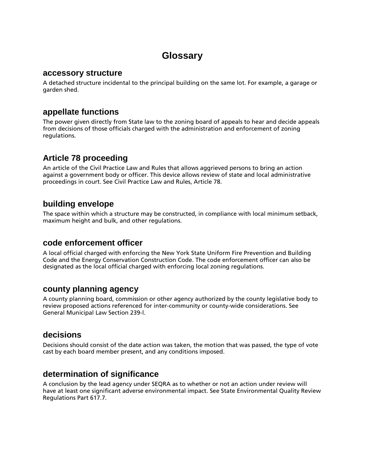# **Glossary**

#### **accessory structure**

A detached structure incidental to the principal building on the same lot. For example, a garage or garden shed.

## **appellate functions**

The power given directly from State law to the zoning board of appeals to hear and decide appeals from decisions of those officials charged with the administration and enforcement of zoning regulations.

## **Article 78 proceeding**

An article of the Civil Practice Law and Rules that allows aggrieved persons to bring an action against a government body or officer. This device allows review of state and local administrative proceedings in court. See Civil Practice Law and Rules, Article 78.

## **building envelope**

The space within which a structure may be constructed, in compliance with local minimum setback, maximum height and bulk, and other regulations.

### **code enforcement officer**

A local official charged with enforcing the New York State Uniform Fire Prevention and Building Code and the Energy Conservation Construction Code. The code enforcement officer can also be designated as the local official charged with enforcing local zoning regulations.

## **county planning agency**

A county planning board, commission or other agency authorized by the county legislative body to review proposed actions referenced for inter-community or county-wide considerations. See General Municipal Law Section 239-l.

## **decisions**

Decisions should consist of the date action was taken, the motion that was passed, the type of vote cast by each board member present, and any conditions imposed.

## **determination of significance**

A conclusion by the lead agency under SEQRA as to whether or not an action under review will have at least one significant adverse environmental impact. See State Environmental Quality Review Regulations Part 617.7.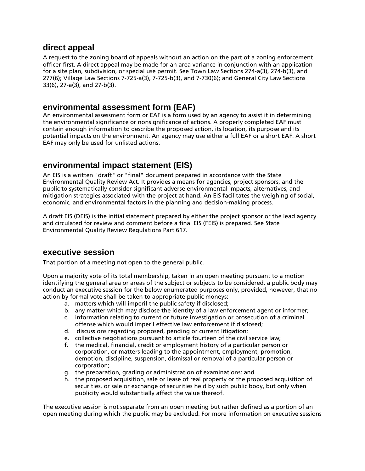### **direct appeal**

A request to the zoning board of appeals without an action on the part of a zoning enforcement officer first. A direct appeal may be made for an area variance in conjunction with an application for a site plan, subdivision, or special use permit. See Town Law Sections 274-a(3), 274-b(3), and 277(6); Village Law Sections 7-725-a(3), 7-725-b(3), and 7-730(6); and General City Law Sections 33(6), 27-a(3), and 27-b(3).

### **environmental assessment form (EAF)**

An environmental assessment form or EAF is a form used by an agency to assist it in determining the environmental significance or nonsignificance of actions. A properly completed EAF must contain enough information to describe the proposed action, its location, its purpose and its potential impacts on the environment. An agency may use either a full EAF or a short EAF. A short EAF may only be used for unlisted actions.

## **environmental impact statement (EIS)**

An EIS is a written "draft" or "final" document prepared in accordance with the State Environmental Quality Review Act. It provides a means for agencies, project sponsors, and the public to systematically consider significant adverse environmental impacts, alternatives, and mitigation strategies associated with the project at hand. An EIS facilitates the weighing of social, economic, and environmental factors in the planning and decision-making process.

A draft EIS (DEIS) is the initial statement prepared by either the project sponsor or the lead agency and circulated for review and comment before a final EIS (FEIS) is prepared. See State Environmental Quality Review Regulations Part 617.

## **executive session**

That portion of a meeting not open to the general public.

Upon a majority vote of its total membership, taken in an open meeting pursuant to a motion identifying the general area or areas of the subject or subjects to be considered, a public body may conduct an executive session for the below enumerated purposes only, provided, however, that no action by formal vote shall be taken to appropriate public moneys:

- a. matters which will imperil the public safety if disclosed;
- b. any matter which may disclose the identity of a law enforcement agent or informer;
- c. information relating to current or future investigation or prosecution of a criminal offense which would imperil effective law enforcement if disclosed;
- d. discussions regarding proposed, pending or current litigation;
- e. collective negotiations pursuant to article fourteen of the civil service law;
- f. the medical, financial, credit or employment history of a particular person or corporation, or matters leading to the appointment, employment, promotion, demotion, discipline, suspension, dismissal or removal of a particular person or corporation;
- g. the preparation, grading or administration of examinations; and
- h. the proposed acquisition, sale or lease of real property or the proposed acquisition of securities, or sale or exchange of securities held by such public body, but only when publicity would substantially affect the value thereof.

The executive session is not separate from an open meeting but rather defined as a portion of an open meeting during which the public may be excluded. For more information on executive sessions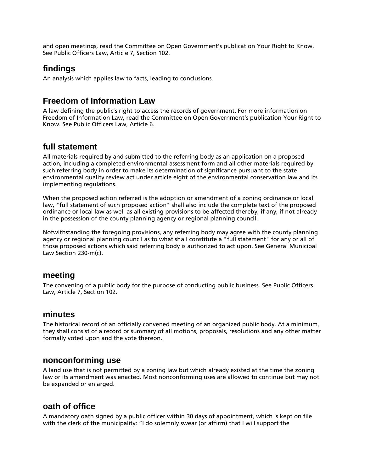and open meetings, read the Committee on Open Government's publication Your Right to Know. See Public Officers Law, Article 7, Section 102.

## **findings**

An analysis which applies law to facts, leading to conclusions.

## **Freedom of Information Law**

A law defining the public's right to access the records of government. For more information on Freedom of Information Law, read the Committee on Open Government's publication Your Right to Know. See Public Officers Law, Article 6.

## **full statement**

All materials required by and submitted to the referring body as an application on a proposed action, including a completed environmental assessment form and all other materials required by such referring body in order to make its determination of significance pursuant to the state environmental quality review act under article eight of the environmental conservation law and its implementing regulations.

When the proposed action referred is the adoption or amendment of a zoning ordinance or local law, "full statement of such proposed action" shall also include the complete text of the proposed ordinance or local law as well as all existing provisions to be affected thereby, if any, if not already in the possession of the county planning agency or regional planning council.

Notwithstanding the foregoing provisions, any referring body may agree with the county planning agency or regional planning council as to what shall constitute a "full statement" for any or all of those proposed actions which said referring body is authorized to act upon. See General Municipal Law Section 230-m(c).

## **meeting**

The convening of a public body for the purpose of conducting public business. See Public Officers Law, Article 7, Section 102.

### **minutes**

The historical record of an officially convened meeting of an organized public body. At a minimum, they shall consist of a record or summary of all motions, proposals, resolutions and any other matter formally voted upon and the vote thereon.

## **nonconforming use**

A land use that is not permitted by a zoning law but which already existed at the time the zoning law or its amendment was enacted. Most nonconforming uses are allowed to continue but may not be expanded or enlarged.

## **oath of office**

A mandatory oath signed by a public officer within 30 days of appointment, which is kept on file with the clerk of the municipality: "I do solemnly swear (or affirm) that I will support the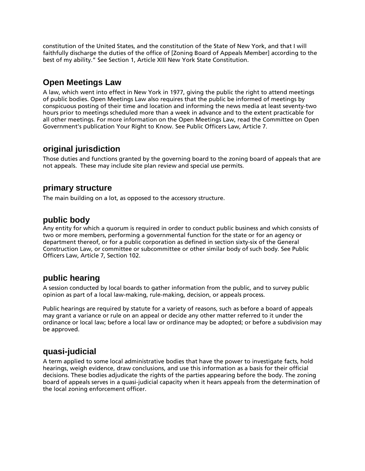constitution of the United States, and the constitution of the State of New York, and that I will faithfully discharge the duties of the office of [Zoning Board of Appeals Member] according to the best of my ability." See Section 1, Article XIII New York State Constitution.

## **Open Meetings Law**

A law, which went into effect in New York in 1977, giving the public the right to attend meetings of public bodies. Open Meetings Law also requires that the public be informed of meetings by conspicuous posting of their time and location and informing the news media at least seventy-two hours prior to meetings scheduled more than a week in advance and to the extent practicable for all other meetings. For more information on the Open Meetings Law, read the Committee on Open Government's publication Your Right to Know. See Public Officers Law, Article 7.

## **original jurisdiction**

Those duties and functions granted by the governing board to the zoning board of appeals that are not appeals. These may include site plan review and special use permits.

## **primary structure**

The main building on a lot, as opposed to the accessory structure.

### **public body**

Any entity for which a quorum is required in order to conduct public business and which consists of two or more members, performing a governmental function for the state or for an agency or department thereof, or for a public corporation as defined in section sixty-six of the General Construction Law, or committee or subcommittee or other similar body of such body. See Public Officers Law, Article 7, Section 102.

## **public hearing**

A session conducted by local boards to gather information from the public, and to survey public opinion as part of a local law-making, rule-making, decision, or appeals process.

Public hearings are required by statute for a variety of reasons, such as before a board of appeals may grant a variance or rule on an appeal or decide any other matter referred to it under the ordinance or local law; before a local law or ordinance may be adopted; or before a subdivision may be approved.

## **quasi-judicial**

A term applied to some local administrative bodies that have the power to investigate facts, hold hearings, weigh evidence, draw conclusions, and use this information as a basis for their official decisions. These bodies adjudicate the rights of the parties appearing before the body. The zoning board of appeals serves in a quasi-judicial capacity when it hears appeals from the determination of the local zoning enforcement officer.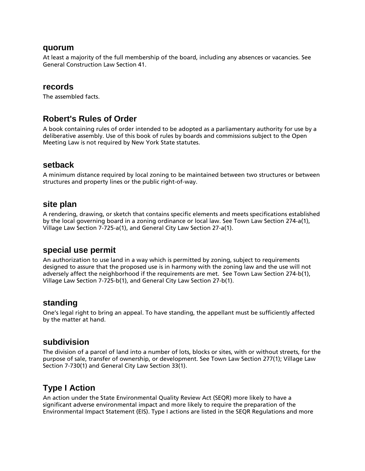#### **quorum**

At least a majority of the full membership of the board, including any absences or vacancies. See General Construction Law Section 41.

#### **records**

The assembled facts.

### **Robert's Rules of Order**

A book containing rules of order intended to be adopted as a parliamentary authority for use by a deliberative assembly. Use of this book of rules by boards and commissions subject to the Open Meeting Law is not required by New York State statutes.

#### **setback**

A minimum distance required by local zoning to be maintained between two structures or between structures and property lines or the public right-of-way.

#### **site plan**

A rendering, drawing, or sketch that contains specific elements and meets specifications established by the local governing board in a zoning ordinance or local law. See Town Law Section 274-a(1), Village Law Section 7-725-a(1), and General City Law Section 27-a(1).

#### **special use permit**

An authorization to use land in a way which is permitted by zoning, subject to requirements designed to assure that the proposed use is in harmony with the zoning law and the use will not adversely affect the neighborhood if the requirements are met. See Town Law Section 274-b(1), Village Law Section 7-725-b(1), and General City Law Section 27-b(1).

#### **standing**

One's legal right to bring an appeal. To have standing, the appellant must be sufficiently affected by the matter at hand.

#### **subdivision**

The division of a parcel of land into a number of lots, blocks or sites, with or without streets, for the purpose of sale, transfer of ownership, or development. See Town Law Section 277(1); Village Law Section 7-730(1) and General City Law Section 33(1).

### **Type I Action**

An action under the State Environmental Quality Review Act (SEQR) more likely to have a significant adverse environmental impact and more likely to require the preparation of the Environmental Impact Statement (EIS). Type I actions are listed in the SEQR Regulations and more